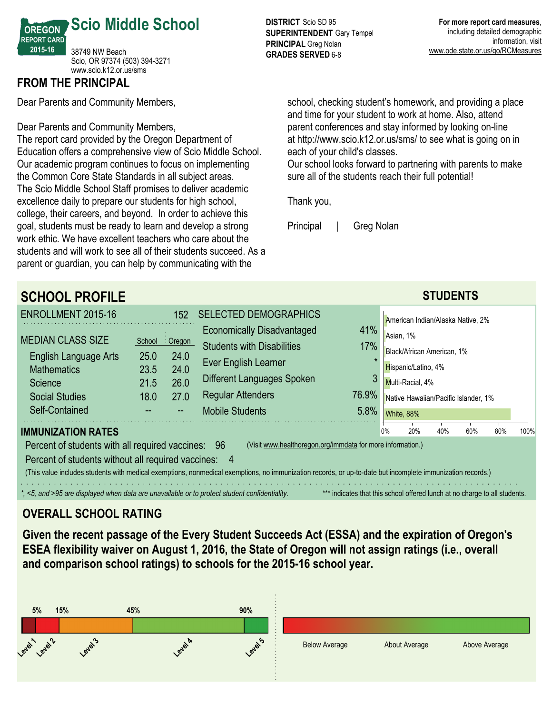

### **FROM THE PRINCIPAL**

Dear Parents and Community Members,

Dear Parents and Community Members,

The report card provided by the Oregon Department of Education offers a comprehensive view of Scio Middle School. Our academic program continues to focus on implementing the Common Core State Standards in all subject areas. The Scio Middle School Staff promises to deliver academic excellence daily to prepare our students for high school, college, their careers, and beyond. In order to achieve this goal, students must be ready to learn and develop a strong work ethic. We have excellent teachers who care about the students and will work to see all of their students succeed. As a parent or guardian, you can help by communicating with the

**DISTRICT** Scio SD 95 **SUPERINTENDENT** Gary Tempel **PRINCIPAL** Greg Nolan **GRADES SERVED 6-8** 

school, checking student's homework, and providing a place and time for your student to work at home. Also, attend parent conferences and stay informed by looking on-line at http://www.scio.k12.or.us/sms/ to see what is going on in each of your child's classes.

Our school looks forward to partnering with parents to make sure all of the students reach their full potential!

Thank you,

Principal | Greg Nolan

**SCHOOL PROFILE STUDENTS** ENROLLMENT 2015-16 152 MEDIAN CLASS SIZE School Oregon English Language Arts 25.0 24.0 Mathematics 23.5 24.0 Science 21.5 26.0 Social Studies 18.0 27.0 Self-Contained SELECTED DEMOGRAPHICS Economically Disadvantaged 41% Students with Disabilities 17% Ever English Learner Different Languages Spoken 3 Regular Attenders 76.9% Mobile Students 5.8% **IMMUNIZATION RATES** Percent of students with all required vaccines: 96 (Visit www.healthoregon.org/immdata for more information.) Percent of students without all required vaccines: (This value includes students with medical exemptions, nonmedical exemptions, no immunization records, or up-to-date but incomplete immunization records.) *\*, <5, and >95 are displayed when data are unavailable or to protect student confidentiality.* \*\*\* indicates that this school offered lunch at no charge to all students. American Indian/Alaska Native, 2% Asian, 1% Black/African American, 1% Hispanic/Latino, 4% Multi-Racial, 4% Native Hawaiian/Pacific Islander, 1% White, 88% 0% 20% 40% 60% 80% 100%

# **OVERALL SCHOOL RATING**

**Given the recent passage of the Every Student Succeeds Act (ESSA) and the expiration of Oregon's ESEA flexibility waiver on August 1, 2016, the State of Oregon will not assign ratings (i.e., overall and comparison school ratings) to schools for the 201516 school year.**

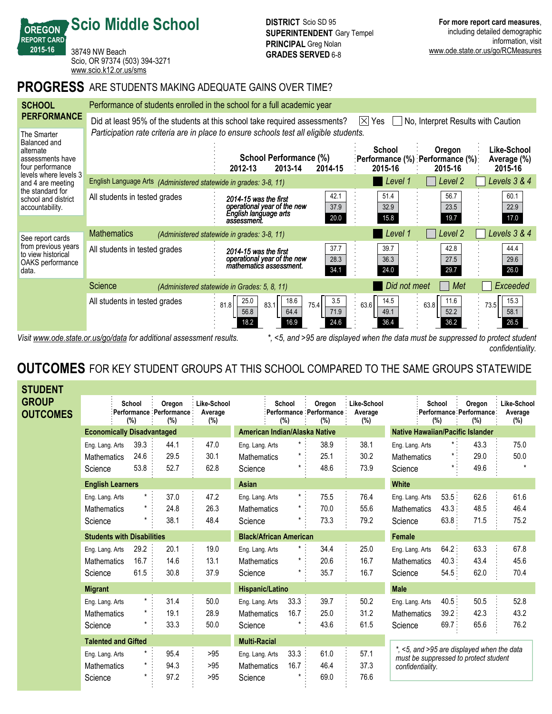38749 NW Beach Scio, OR 97374 (503) 394-3271 <www.scio.k12.or.us/sms>

**Scio Middle School**

**OREGON REPORT CARD 201516**

### **PROGRESS** ARE STUDENTS MAKING ADEQUATE GAINS OVER TIME?

| <b>SCHOOL</b>                                                                                                                                                                                | Performance of students enrolled in the school for a full academic year                                                               |                                                                                                                                                   |                              |                                                         |                                       |  |  |  |
|----------------------------------------------------------------------------------------------------------------------------------------------------------------------------------------------|---------------------------------------------------------------------------------------------------------------------------------------|---------------------------------------------------------------------------------------------------------------------------------------------------|------------------------------|---------------------------------------------------------|---------------------------------------|--|--|--|
| <b>PERFORMANCE</b>                                                                                                                                                                           | Did at least 95% of the students at this school take required assessments?<br>No, Interpret Results with Caution<br>$ \times $<br>Yes |                                                                                                                                                   |                              |                                                         |                                       |  |  |  |
| The Smarter<br>Balanced and<br>alternate<br>assessments have<br>four performance<br>levels where levels 3<br>and 4 are meeting<br>the standard for<br>school and district<br>accountability. |                                                                                                                                       | Participation rate criteria are in place to ensure schools test all eligible students.<br>School Performance (%)<br>2013-14<br>2014-15<br>2012-13 | School<br>2015-16            | Oregon<br>∶Performance (%) ∶Performance (%)∶<br>2015-16 | Like-School<br>Average (%)<br>2015-16 |  |  |  |
|                                                                                                                                                                                              | English Language Arts (Administered statewide in grades: 3-8, 11)                                                                     |                                                                                                                                                   | Level 1                      | Level 2                                                 | Levels 3 & 4                          |  |  |  |
|                                                                                                                                                                                              | All students in tested grades                                                                                                         | 42.1<br>2014-15 was the first<br>operational year of the new<br>37.9<br>English language arts<br>20.0<br>assessment.                              | 51.4<br>32.9<br>15.8         | 56.7<br>23.5<br>19.7                                    | 60.1<br>22.9<br>17.0                  |  |  |  |
| See report cards<br>from previous years<br>to view historical<br>OAKS performance<br>data.                                                                                                   | <b>Mathematics</b>                                                                                                                    | (Administered statewide in grades: 3-8, 11)                                                                                                       | Level 1                      | Level 2                                                 | Levels 3 & 4                          |  |  |  |
|                                                                                                                                                                                              | All students in tested grades                                                                                                         | 37.7<br>2014-15 was the first<br>operational year of the new<br>28.3<br>mathematics assessment.<br>34.1                                           | 39.7<br>36.3<br>24.0         | 42.8<br>27.5<br>29.7                                    | 44.4<br>29.6<br>26.0                  |  |  |  |
|                                                                                                                                                                                              | Science                                                                                                                               | (Administered statewide in Grades: 5, 8, 11)                                                                                                      | Did not meet                 | Met                                                     | Exceeded                              |  |  |  |
|                                                                                                                                                                                              | All students in tested grades                                                                                                         | 3.5<br>18.6<br>25.0<br>81.8<br>83.1<br>75.4<br>64.4<br>71.9<br>56.8<br>24.6<br>16.9<br>18.2                                                       | 14.5<br>63.6<br>49.1<br>36.4 | 11.6<br>63.8<br>52.2<br>36.2                            | 15.3<br>73.5<br>58.1<br>26.5          |  |  |  |

*Visit www.ode.state.or.us/go/data for additional assessment results. \*, <5, and >95 are displayed when the data must be suppressed to protect student confidentiality.*

# **OUTCOMES** FOR KEY STUDENT GROUPS AT THIS SCHOOL COMPARED TO THE SAME GROUPS STATEWIDE

| <b>STUDENT</b>                  |                                                  |                                   |                                              |                               |                                                  |                                |                                          |                               |                                                                                                         |                         |                                          |                               |
|---------------------------------|--------------------------------------------------|-----------------------------------|----------------------------------------------|-------------------------------|--------------------------------------------------|--------------------------------|------------------------------------------|-------------------------------|---------------------------------------------------------------------------------------------------------|-------------------------|------------------------------------------|-------------------------------|
| <b>GROUP</b><br><b>OUTCOMES</b> |                                                  | School<br>(%)                     | Oregon<br>Performance : Performance :<br>(%) | Like-School<br>Average<br>(%) |                                                  | School<br>(%)                  | Oregon<br>Performance Performance<br>(%) | Like-School<br>Average<br>(%) | School<br>(%)                                                                                           |                         | Oregon<br>Performance Performance<br>(%) | Like-School<br>Average<br>(%) |
|                                 |                                                  | <b>Economically Disadvantaged</b> |                                              |                               | American Indian/Alaska Native                    |                                |                                          |                               | <b>Native Hawaiian/Pacific Islander</b>                                                                 |                         |                                          |                               |
|                                 | Eng. Lang. Arts<br>Mathematics<br>Science        | 39.3<br>24.6<br>53.8              | 44.1<br>29.5<br>52.7                         | 47.0<br>30.1<br>62.8          | Eng. Lang. Arts<br><b>Mathematics</b><br>Science | $\star$<br>$\star$<br>$^\star$ | 38.9<br>25.1<br>48.6                     | 38.1<br>30.2<br>73.9          | Eng. Lang. Arts<br><b>Mathematics</b><br>Science                                                        | $\star$ :               | 43.3<br>29.0<br>49.6                     | 75.0<br>50.0<br>$\star$       |
| <b>English Learners</b>         |                                                  |                                   | Asian                                        |                               |                                                  |                                | <b>White</b>                             |                               |                                                                                                         |                         |                                          |                               |
|                                 | Eng. Lang. Arts<br><b>Mathematics</b><br>Science | $*$ :<br>$\star$                  | 37.0<br>24.8<br>38.1                         | 47.2<br>26.3<br>48.4          | Eng. Lang. Arts<br><b>Mathematics</b><br>Science | $\star$ .<br>$^\star$          | 75.5<br>70.0<br>73.3                     | 76.4<br>55.6<br>79.2          | Eng. Lang. Arts<br><b>Mathematics</b><br>Science                                                        | 53.5:<br>43.3:<br>63.8: | 62.6<br>48.5<br>71.5                     | 61.6<br>46.4<br>75.2          |
|                                 |                                                  | <b>Students with Disabilities</b> |                                              |                               | <b>Black/African American</b>                    |                                |                                          |                               | <b>Female</b>                                                                                           |                         |                                          |                               |
|                                 | Eng. Lang. Arts<br><b>Mathematics</b><br>Science | 29.2<br>16.7<br>61.5              | 20.1<br>14.6<br>30.8                         | 19.0<br>13.1<br>37.9          | Eng. Lang. Arts<br><b>Mathematics</b><br>Science |                                | 34.4<br>20.6<br>35.7                     | 25.0<br>16.7<br>16.7          | Eng. Lang. Arts<br><b>Mathematics</b><br>Science                                                        | 64.2:<br>40.3<br>54.5:  | 63.3<br>43.4<br>62.0                     | 67.8<br>45.6<br>70.4          |
|                                 | <b>Migrant</b>                                   |                                   |                                              |                               | Hispanic/Latino                                  |                                |                                          |                               | <b>Male</b>                                                                                             |                         |                                          |                               |
|                                 | Eng. Lang. Arts<br><b>Mathematics</b><br>Science | $\star$ .<br>$^\star$             | 31.4<br>19.1<br>33.3                         | 50.0<br>28.9<br>50.0          | Eng. Lang. Arts<br><b>Mathematics</b><br>Science | 33.3<br>16.7                   | 39.7<br>25.0<br>43.6                     | 50.2<br>31.2<br>61.5          | Eng. Lang. Arts<br><b>Mathematics</b><br>Science                                                        | 40.5:<br>39.2:<br>69.7  | 50.5<br>42.3<br>65.6                     | 52.8<br>43.2<br>76.2          |
|                                 | <b>Talented and Gifted</b>                       |                                   |                                              | <b>Multi-Racial</b>           |                                                  |                                |                                          |                               |                                                                                                         |                         |                                          |                               |
|                                 | Eng. Lang. Arts<br><b>Mathematics</b><br>Science | $\star$<br>$^\star$<br>$\star$    | 95.4<br>94.3<br>97.2                         | >95<br>>95<br>>95             | Eng. Lang. Arts<br><b>Mathematics</b><br>Science | 33.3<br>16.7                   | 61.0<br>46.4<br>69.0                     | 57.1<br>37.3<br>76.6          | *, <5, and >95 are displayed when the data<br>must be suppressed to protect student<br>confidentiality. |                         |                                          |                               |